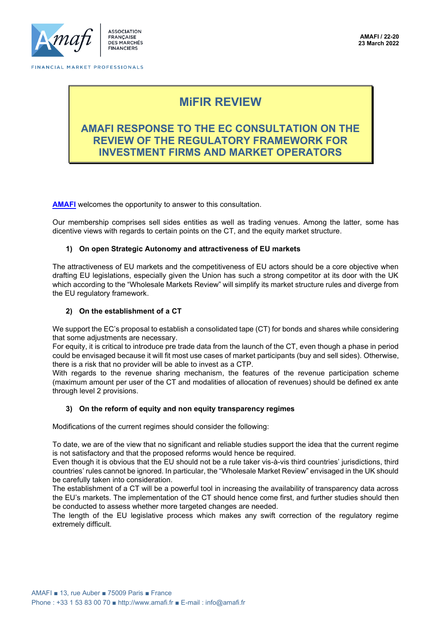

# **MiFIR REVIEW**

## **AMAFI RESPONSE TO THE EC CONSULTATION ON THE REVIEW OF THE REGULATORY FRAMEWORK FOR INVESTMENT FIRMS AND MARKET OPERATORS**

**[AMAFI](http://amafi.fr/en)** welcomes the opportunity to answer to this consultation.

Our membership comprises sell sides entities as well as trading venues. Among the latter, some has dicentive views with regards to certain points on the CT, and the equity market structure.

#### **1) On open Strategic Autonomy and attractiveness of EU markets**

The attractiveness of EU markets and the competitiveness of EU actors should be a core objective when drafting EU legislations, especially given the Union has such a strong competitor at its door with the UK which according to the "Wholesale Markets Review" will simplify its market structure rules and diverge from the EU regulatory framework.

#### **2) On the establishment of a CT**

We support the EC's proposal to establish a consolidated tape (CT) for bonds and shares while considering that some adjustments are necessary.

For equity, it is critical to introduce pre trade data from the launch of the CT, even though a phase in period could be envisaged because it will fit most use cases of market participants (buy and sell sides). Otherwise, there is a risk that no provider will be able to invest as a CTP.

With regards to the revenue sharing mechanism, the features of the revenue participation scheme (maximum amount per user of the CT and modalities of allocation of revenues) should be defined ex ante through level 2 provisions.

#### **3) On the reform of equity and non equity transparency regimes**

Modifications of the current regimes should consider the following:

To date, we are of the view that no significant and reliable studies support the idea that the current regime is not satisfactory and that the proposed reforms would hence be required.

Even though it is obvious that the EU should not be a rule taker vis-à-vis third countries' jurisdictions, third countries' rules cannot be ignored. In particular, the "Wholesale Market Review" envisaged in the UK should be carefully taken into consideration.

The establishment of a CT will be a powerful tool in increasing the availability of transparency data across the EU's markets. The implementation of the CT should hence come first, and further studies should then be conducted to assess whether more targeted changes are needed.

The length of the EU legislative process which makes any swift correction of the regulatory regime extremely difficult.